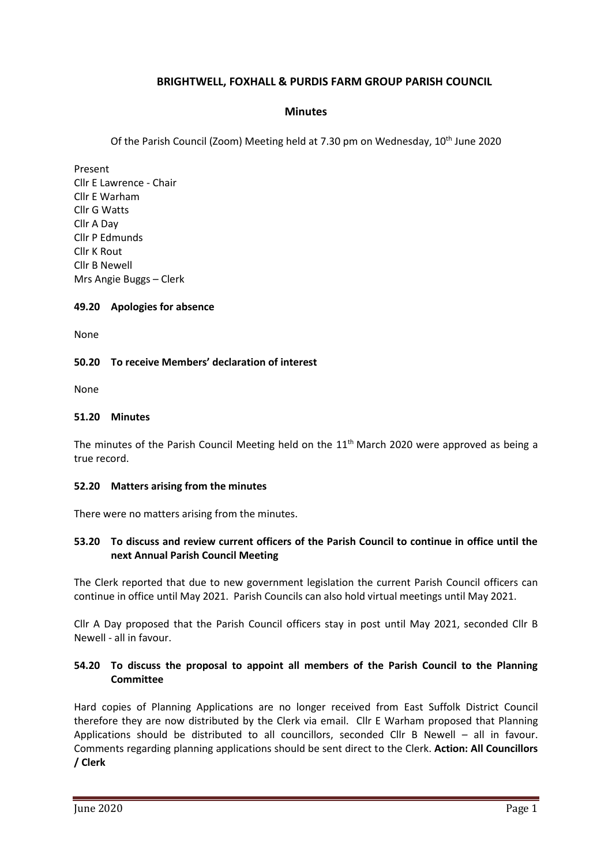# **BRIGHTWELL, FOXHALL & PURDIS FARM GROUP PARISH COUNCIL**

## **Minutes**

Of the Parish Council (Zoom) Meeting held at 7.30 pm on Wednesday, 10<sup>th</sup> June 2020

Present Cllr E Lawrence - Chair Cllr E Warham Cllr G Watts Cllr A Day Cllr P Edmunds Cllr K Rout Cllr B Newell Mrs Angie Buggs – Clerk

#### **49.20 Apologies for absence**

None

### **50.20 To receive Members' declaration of interest**

None

#### **51.20 Minutes**

The minutes of the Parish Council Meeting held on the 11<sup>th</sup> March 2020 were approved as being a true record.

### **52.20 Matters arising from the minutes**

There were no matters arising from the minutes.

## **53.20 To discuss and review current officers of the Parish Council to continue in office until the next Annual Parish Council Meeting**

The Clerk reported that due to new government legislation the current Parish Council officers can continue in office until May 2021. Parish Councils can also hold virtual meetings until May 2021.

Cllr A Day proposed that the Parish Council officers stay in post until May 2021, seconded Cllr B Newell - all in favour.

## **54.20 To discuss the proposal to appoint all members of the Parish Council to the Planning Committee**

Hard copies of Planning Applications are no longer received from East Suffolk District Council therefore they are now distributed by the Clerk via email. Cllr E Warham proposed that Planning Applications should be distributed to all councillors, seconded Cllr B Newell – all in favour. Comments regarding planning applications should be sent direct to the Clerk. **Action: All Councillors / Clerk**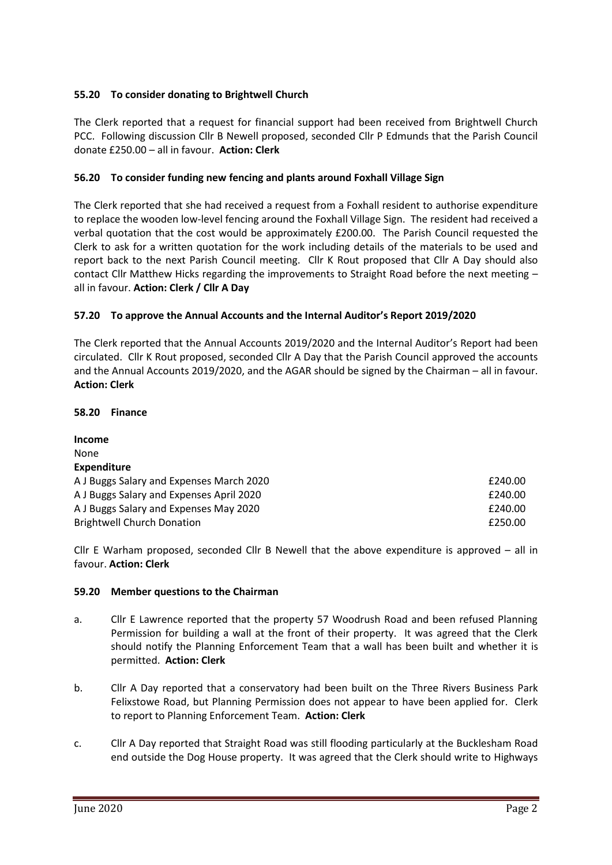# **55.20 To consider donating to Brightwell Church**

The Clerk reported that a request for financial support had been received from Brightwell Church PCC. Following discussion Cllr B Newell proposed, seconded Cllr P Edmunds that the Parish Council donate £250.00 – all in favour. **Action: Clerk**

# **56.20 To consider funding new fencing and plants around Foxhall Village Sign**

The Clerk reported that she had received a request from a Foxhall resident to authorise expenditure to replace the wooden low-level fencing around the Foxhall Village Sign. The resident had received a verbal quotation that the cost would be approximately £200.00. The Parish Council requested the Clerk to ask for a written quotation for the work including details of the materials to be used and report back to the next Parish Council meeting. Cllr K Rout proposed that Cllr A Day should also contact Cllr Matthew Hicks regarding the improvements to Straight Road before the next meeting – all in favour. **Action: Clerk / Cllr A Day**

## **57.20 To approve the Annual Accounts and the Internal Auditor's Report 2019/2020**

The Clerk reported that the Annual Accounts 2019/2020 and the Internal Auditor's Report had been circulated. Cllr K Rout proposed, seconded Cllr A Day that the Parish Council approved the accounts and the Annual Accounts 2019/2020, and the AGAR should be signed by the Chairman – all in favour. **Action: Clerk**

## **58.20 Finance**

| <b>Income</b>                            |         |
|------------------------------------------|---------|
| None                                     |         |
| <b>Expenditure</b>                       |         |
| A J Buggs Salary and Expenses March 2020 | £240.00 |
| A J Buggs Salary and Expenses April 2020 | £240.00 |
| A J Buggs Salary and Expenses May 2020   | £240.00 |
| <b>Brightwell Church Donation</b>        | £250.00 |

Cllr E Warham proposed, seconded Cllr B Newell that the above expenditure is approved – all in favour. **Action: Clerk**

### **59.20 Member questions to the Chairman**

- a. Cllr E Lawrence reported that the property 57 Woodrush Road and been refused Planning Permission for building a wall at the front of their property. It was agreed that the Clerk should notify the Planning Enforcement Team that a wall has been built and whether it is permitted. **Action: Clerk**
- b. Cllr A Day reported that a conservatory had been built on the Three Rivers Business Park Felixstowe Road, but Planning Permission does not appear to have been applied for. Clerk to report to Planning Enforcement Team. **Action: Clerk**
- c. Cllr A Day reported that Straight Road was still flooding particularly at the Bucklesham Road end outside the Dog House property. It was agreed that the Clerk should write to Highways